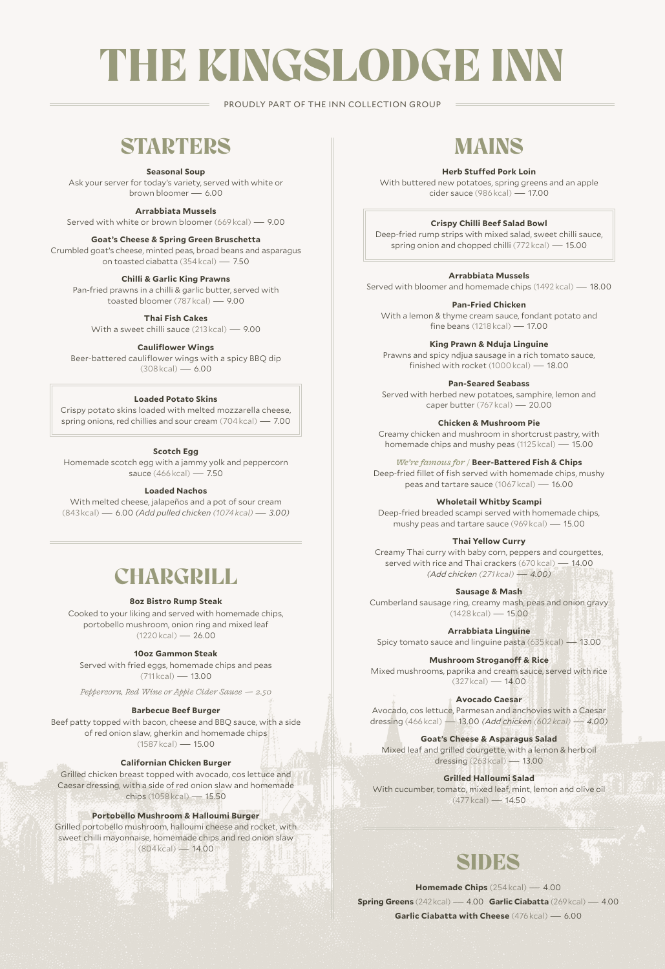# THE KINGSLODGE INN

PROUDLY PART OF THE INN COLLECTION GROUP

### **STARTERS**

#### **Seasonal Soup**

Ask your server for today's variety, served with white or<br> $\frac{1}{2}$  hrown bloomer - 6.00 brown bloomer -

**Arrabbiata Mussels**

Served with white or brown bloomer (669 kcal) — 9.00

#### **Goat's Cheese & Spring Green Bruschetta**

Crumbled goat's cheese, minted peas, broad beans and asparagus on toasted ciabatta (354 kcal) — 7.50

#### **Chilli & Garlic King Prawns**

Pan-fried prawns in a chilli & garlic butter, served with toasted bloomer (787 kcal) — 9.00

**Thai Fish Cakes** 

With a sweet chilli sauce (213 kcal) — 9.00

**Cauliflower Wings**

Beer-battered cauliflower wings with a spicy BBQ dip  $(308 \text{ kcal}) - 6.00$ 

#### **Loaded Potato Skins**

Crispy potato skins loaded with melted mozzarella cheese, spring onions, red chillies and sour cream (704 kcal) — 7.00

#### **Scotch Egg**

Homemade scotch egg with a jammy yolk and peppercorn sauce (466 kcal) — 7.50

#### **Loaded Nachos**

With melted cheese, jalapeños and a pot of sour cream (843 kcal) — 6.00 *(Add pulled chicken (1074 kcal) — 3.00)*

### **CHARGRILL**

#### **8oz Bistro Rump Steak**

Cooked to your liking and served with homemade chips, portobello mushroom, onion ring and mixed leaf (1220 kcal) — 26.00

#### **10oz Gammon Steak**

Served with fried eggs, homemade chips and peas (711 kcal) — 13.00

*Peppercorn, Red Wine or Apple Cider Sauce — 2.50*

#### **Barbecue Beef Burger**

Beef patty topped with bacon, cheese and BBQ sauce, with a side of red onion slaw, gherkin and homemade chips  $(1587 \text{ kcal}) - 15.00$ 

#### **Californian Chicken Burger**

Grilled chicken breast topped with avocado, cos lettuce and Caesar dressing, with a side of red onion slaw and homemade chips (1058 kcal) — 15.50

#### **Portobello Mushroom & Halloumi Burger**

Grilled portobello mushroom, halloumi cheese and rocket, with sweet chilli mayonnaise, homemade chips and red onion slaw (804 kcal) — 14.00

### MAINS

#### **Herb Stuffed Pork Loin**

With buttered new potatoes, spring greens and an apple cider sauce (986 kcal) — 17.00

#### **Crispy Chilli Beef Salad Bowl**

Deep-fried rump strips with mixed salad, sweet chilli sauce, spring onion and chopped chilli (772 kcal) — 15.00

#### **Arrabbiata Mussels**

Served with bloomer and homemade chips (1492 kcal) — 18.00

#### **Pan-Fried Chicken**

With a lemon & thyme cream sauce, fondant potato and fine beans (1218 kcal) — 17.00

**King Prawn & Nduja Linguine**

Prawns and spicy ndjua sausage in a rich tomato sauce, finished with rocket (1000 kcal) — 18.00

**Pan-Seared Seabass** 

Served with herbed new potatoes, samphire, lemon and caper butter (767 kcal) — 20.00

**Chicken & Mushroom Pie** 

Creamy chicken and mushroom in shortcrust pastry, with homemade chips and mushy peas (1125 kcal) — 15.00

#### *We're famous for /* **Beer-Battered Fish & Chips**

Deep-fried fillet of fish served with homemade chips, mushy peas and tartare sauce (1067 kcal) — 16.00

#### **Wholetail Whitby Scampi**

Deep-fried breaded scampi served with homemade chips, mushy peas and tartare sauce (969 kcal) — 15.00

#### **Thai Yellow Curry**

Creamy Thai curry with baby corn, peppers and courgettes, served with rice and Thai crackers (670 kcal) - 14.00 *(Add chicken (271 kcal) — 4.00)*

**Sausage & Mash**

Cumberland sausage ring, creamy mash, peas and onion gravy (1428 kcal) — 15.00

**Arrabbiata Linguine** Spicy tomato sauce and linguine pasta (635 kcal) — 13.00

**Mushroom Stroganoff & Rice**  Mixed mushrooms, paprika and cream sauce, served with rice  $(327 \text{ kcal}) - 14.00$ 

**Avocado Caesar**

Avocado, cos lettuce, Parmesan and anchovies with a Caesar dressing (466 kcal) — 13.00 *(Add chicken (602 kcal) — 4.00)*

**Goat's Cheese & Asparagus Salad** Mixed leaf and grilled courgette, with a lemon & herb oil dressing (263 kcal) — 13.00

#### **Grilled Halloumi Salad**

With cucumber, tomato, mixed leaf, mint, lemon and olive oil (477 kcal) — 14.50

### **SIDES**

**Homemade Chips** (254 kcal) — 4.00

**Spring Greens** (242 kcal) — 4.00 **Garlic Ciabatta** (269 kcal) — 4.00 **Garlic Ciabatta with Cheese** (476 kcal) — 6.00